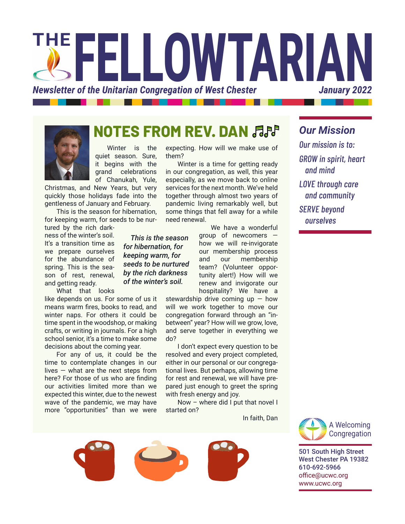



## **NOTES FROM REV. DAN**

Winter is the quiet season. Sure, it begins with the grand celebrations of Chanukah, Yule,

Christmas, and New Years, but very quickly those holidays fade into the gentleness of January and February.

This is the season for hibernation, for keeping warm, for seeds to be nur-

tured by the rich darkness of the winter's soil. It's a transition time as we prepare ourselves for the abundance of spring. This is the season of rest, renewal, and getting ready.

What that looks

like depends on us. For some of us it means warm fires, books to read, and winter naps. For others it could be time spent in the woodshop, or making crafts, or writing in journals. For a high school senior, it's a time to make some decisions about the coming year.

For any of us, it could be the time to contemplate changes in our lives — what are the next steps from here? For those of us who are finding our activities limited more than we expected this winter, due to the newest wave of the pandemic, we may have more "opportunities" than we were

expecting. How will we make use of them?

Winter is a time for getting ready in our congregation, as well, this year especially, as we move back to online services for the next month. We've held together through almost two years of pandemic living remarkably well, but some things that fell away for a while need renewal.

*This is the season* 

We have a wonderful group of newcomers how we will re-invigorate our membership process and our membership team? (Volunteer opportunity alert!) How will we renew and invigorate our hospitality? We have a

stewardship drive coming  $up$  – how will we work together to move our congregation forward through an "inbetween" year? How will we grow, love, and serve together in everything we do?

I don't expect every question to be resolved and every project completed, either in our personal or our congregational lives. But perhaps, allowing time for rest and renewal, we will have prepared just enough to greet the spring with fresh energy and joy.

Now – where did I put that novel I started on?





*Our mission is to: GROW in spirit, heart and mind LOVE through care and community SERVE beyond ourselves*

*Our Mission*



501 South High Street West Chester PA 19382 610-692-5966 office@ucwc.org www.ucwc.org

*for hibernation, for keeping warm, for seeds to be nurtured by the rich darkness of the winter's soil.*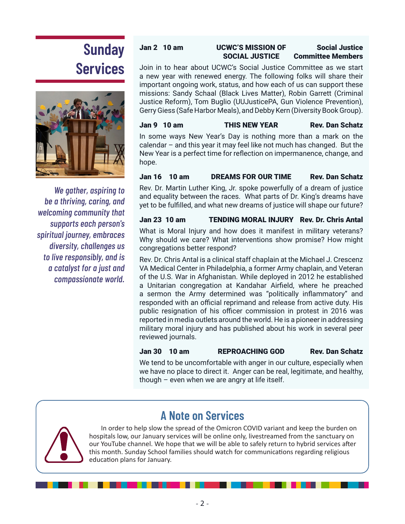# **Sunday Services**



*We gather, aspiring to be a thriving, caring, and welcoming community that supports each person's spiritual journey, embraces diversity, challenges us to live responsibly, and is a catalyst for a just and compassionate world.*

### Jan 2 10 am UCWC'S MISSION OF Social Justice SOCIAL JUSTICE Committee Members

Join in to hear about UCWC's Social Justice Committee as we start a new year with renewed energy. The following folks will share their important ongoing work, status, and how each of us can support these missions: Sandy Schaal (Black Lives Matter), Robin Garrett (Criminal Justice Reform), Tom Buglio (UUJusticePA, Gun Violence Prevention), Gerry Giess (Safe Harbor Meals), and Debby Kern (Diversity Book Group).

### Jan 9 10 am THIS NEW YEAR Rev. Dan Schatz

In some ways New Year's Day is nothing more than a mark on the calendar – and this year it may feel like not much has changed. But the New Year is a perfect time for reflection on impermanence, change, and hope.

### Jan 16 10 am DREAMS FOR OUR TIME Rev. Dan Schatz

Rev. Dr. Martin Luther King, Jr. spoke powerfully of a dream of justice and equality between the races. What parts of Dr. King's dreams have yet to be fulfilled, and what new dreams of justice will shape our future?

### Jan 23 10 am TENDING MORAL INJURY Rev. Dr. Chris Antal

What is Moral Injury and how does it manifest in military veterans? Why should we care? What interventions show promise? How might congregations better respond?

Rev. Dr. Chris Antal is a clinical staff chaplain at the Michael J. Crescenz VA Medical Center in Philadelphia, a former Army chaplain, and Veteran of the U.S. War in Afghanistan. While deployed in 2012 he established a Unitarian congregation at Kandahar Airfield, where he preached a sermon the Army determined was "politically inflammatory" and responded with an official reprimand and release from active duty. His public resignation of his officer commission in protest in 2016 was reported in media outlets around the world. He is a pioneer in addressing military moral injury and has published about his work in several peer reviewed journals.

Jan 30 10 am REPROACHING GOD Rev. Dan Schatz

We tend to be uncomfortable with anger in our culture, especially when we have no place to direct it. Anger can be real, legitimate, and healthy, though – even when we are angry at life itself.



**A Note on Services**

In order to help slow the spread of the Omicron COVID variant and keep the burden on hospitals low, our January services will be online only, livestreamed from the sanctuary on our YouTube channel. We hope that we will be able to safely return to hybrid services after this month. Sunday School families should watch for communications regarding religious education plans for January.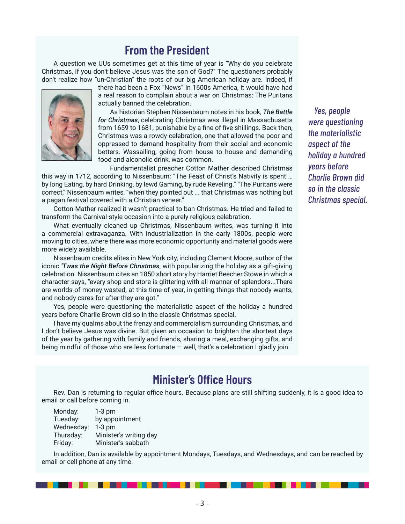## **From the President**

A question we UUs sometimes get at this time of year is "Why do you celebrate Christmas, if you don't believe Jesus was the son of God?" The questioners probably don't realize how "un-Christian" the roots of our big American holiday are. Indeed, if



there had been a Fox "News" in 1600s America, it would have had a real reason to complain about a war on Christmas: The Puritans actually banned the celebration.

As historian Stephen Nissenbaum notes in his book, *The Battle for Christmas*, celebrating Christmas was illegal in Massachusetts from 1659 to 1681, punishable by a fine of five shillings. Back then, Christmas was a rowdy celebration, one that allowed the poor and oppressed to demand hospitality from their social and economic betters. Wassailing, going from house to house and demanding food and alcoholic drink, was common.

Fundamentalist preacher Cotton Mather described Christmas this way in 1712, according to Nissenbaum: "The Feast of Christ's Nativity is spent … by long Eating, by hard Drinking, by lewd Gaming, by rude Reveling." "The Puritans were correct," Nissenbaum writes, "when they pointed out ... that Christmas was nothing but a pagan festival covered with a Christian veneer."

Cotton Mather realized it wasn't practical to ban Christmas. He tried and failed to transform the Carnival-style occasion into a purely religious celebration.

What eventually cleaned up Christmas, Nissenbaum writes, was turning it into a commercial extravaganza. With industrialization in the early 1800s, people were moving to cities, where there was more economic opportunity and material goods were more widely available.

Nissenbaum credits elites in New York city, including Clement Moore, author of the iconic *'Twas the Night Before Christmas*, with popularizing the holiday as a gift-giving celebration. Nissenbaum cites an 1850 short story by Harriet Beecher Stowe in which a character says, "every shop and store is glittering with all manner of splendors...There are worlds of money wasted, at this time of year, in getting things that nobody wants, and nobody cares for after they are got."

Yes, people were questioning the materialistic aspect of the holiday a hundred years before Charlie Brown did so in the classic Christmas special.

I have my qualms about the frenzy and commercialism surrounding Christmas, and I don't believe Jesus was divine. But given an occasion to brighten the shortest days of the year by gathering with family and friends, sharing a meal, exchanging gifts, and being mindful of those who are less fortunate — well, that's a celebration I gladly join.

*Yes, people were questioning the materialistic aspect of the holiday a hundred years before Charlie Brown did so in the classic Christmas special.* 

## **Minister's Office Hours**

Rev. Dan is returning to regular office hours. Because plans are still shifting suddenly, it is a good idea to email or call before coming in.

Monday: 1-3 pm Tuesday: by appointment Wednesday: 1-3 pm Thursday: Minister's writing day Friday: Minister's sabbath

In addition, Dan is available by appointment Mondays, Tuesdays, and Wednesdays, and can be reached by email or cell phone at any time.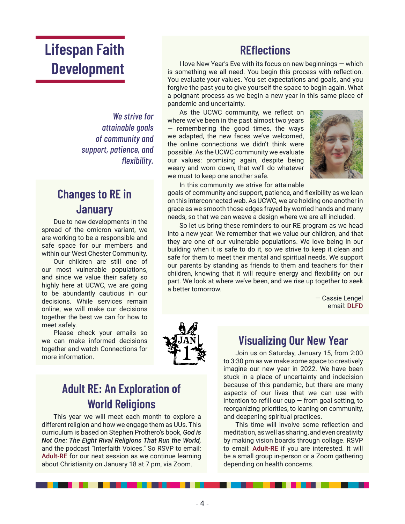## **Lifespan Faith Development**

*We strive for attainable goals of community and support, patience, and flexibility.*

## **Changes to RE in January**

Due to new developments in the spread of the omicron variant, we are working to be a responsible and safe space for our members and within our West Chester Community.

Our children are still one of our most vulnerable populations, and since we value their safety so highly here at UCWC, we are going to be abundantly cautious in our decisions. While services remain online, we will make our decisions together the best we can for how to meet safely.

Please check your emails so we can make informed decisions together and watch Connections for more information.

## **REflections**

I love New Year's Eve with its focus on new beginnings — which is something we all need. You begin this process with reflection. You evaluate your values. You set expectations and goals, and you forgive the past you to give yourself the space to begin again. What a poignant process as we begin a new year in this same place of pandemic and uncertainty.

As the UCWC community, we reflect on where we've been in the past almost two years — remembering the good times, the ways we adapted, the new faces we've welcomed, the online connections we didn't think were possible. As the UCWC community we evaluate our values: promising again, despite being weary and worn down, that we'll do whatever we must to keep one another safe.



In this community we strive for attainable

goals of community and support, patience, and flexibility as we lean on this interconnected web. As UCWC, we are holding one another in grace as we smooth those edges frayed by worried hands and many needs, so that we can weave a design where we are all included.

So let us bring these reminders to our RE program as we head into a new year. We remember that we value our children, and that they are one of our vulnerable populations. We love being in our building when it is safe to do it, so we strive to keep it clean and safe for them to meet their mental and spiritual needs. We support our parents by standing as friends to them and teachers for their children, knowing that it will require energy and flexibility on our part. We look at where we've been, and we rise up together to seek a better tomorrow.

> — Cassie Lengel email: DLFD



## **Adult RE: An Exploration of World Religions**

This year we will meet each month to explore a different religion and how we engage them as UUs. This curriculum is based on Stephen Prothero's book, *God is Not One: The Eight Rival Religions That Run the World,* and the podcast "Interfaith Voices." So RSVP to email: Adult-RE for our next session as we continue learning about Christianity on January 18 at 7 pm, via Zoom.

### **Visualizing Our New Year**

Join us on Saturday, January 15, from 2:00 to 3:30 pm as we make some space to creatively imagine our new year in 2022. We have been stuck in a place of uncertainty and indecision because of this pandemic, but there are many aspects of our lives that we can use with intention to refill our cup  $-$  from goal setting, to reorganizing priorities, to leaning on community, and deepening spiritual practices.

This time will involve some reflection and meditation, as well as sharing, and even creativity by making vision boards through collage. RSVP to email: Adult-RE if you are interested. It will be a small group in-person or a Zoom gathering depending on health concerns.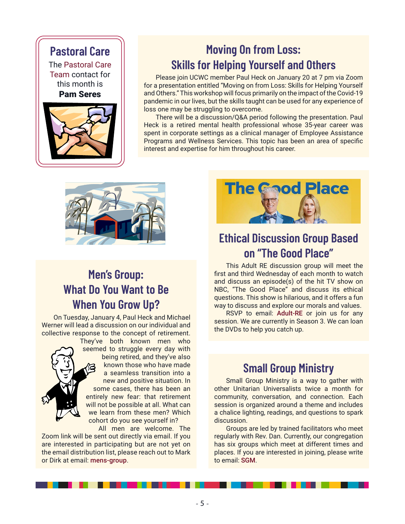## **Pastoral Care**

The Pastoral Care Team contact for this month is Pam Seres



## **Moving On from Loss: Skills for Helping Yourself and Others**

Please join UCWC member Paul Heck on January 20 at 7 pm via Zoom for a presentation entitled "Moving on from Loss: Skills for Helping Yourself and Others." This workshop will focus primarily on the impact of the Covid-19 pandemic in our lives, but the skills taught can be used for any experience of loss one may be struggling to overcome.

There will be a discussion/Q&A period following the presentation. Paul Heck is a retired mental health professional whose 35-year career was spent in corporate settings as a clinical manager of Employee Assistance Programs and Wellness Services. This topic has been an area of specific interest and expertise for him throughout his career.



## **Men's Group: What Do You Want to Be When You Grow Up?**

On Tuesday, January 4, Paul Heck and Michael Werner will lead a discussion on our individual and collective response to the concept of retirement.



They've both known men who seemed to struggle every day with being retired, and they've also known those who have made a seamless transition into a new and positive situation. In some cases, there has been an entirely new fear: that retirement will not be possible at all. What can we learn from these men? Which cohort do you see yourself in?

All men are welcome. The Zoom link will be sent out directly via email. If you are interested in participating but are not yet on the email distribution list, please reach out to Mark or Dirk at email: mens-group.



## **Ethical Discussion Group Based on "The Good Place"**

This Adult RE discussion group will meet the first and third Wednesday of each month to watch and discuss an episode(s) of the hit TV show on NBC, "The Good Place" and discuss its ethical questions. This show is hilarious, and it offers a fun way to discuss and explore our morals and values.

RSVP to email: Adult-RE or join us for any session. We are currently in Season 3. We can loan the DVDs to help you catch up.

## **Small Group Ministry**

Small Group Ministry is a way to gather with other Unitarian Universalists twice a month for community, conversation, and connection. Each session is organized around a theme and includes a chalice lighting, readings, and questions to spark discussion.

Groups are led by trained facilitators who meet regularly with Rev. Dan. Currently, our congregation has six groups which meet at different times and places. If you are interested in joining, please write to email: SGM.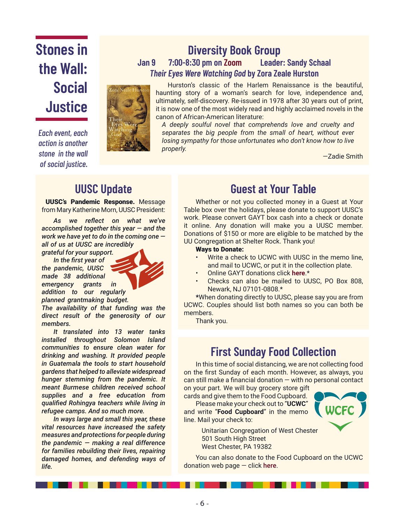# **Stones in the Wall: Social Justice**

*Each event, each action is another stone in the wall of social justice.*

**Jan 9 7:00-8:30 pm on Zoom Leader: Sandy Schaal** *Their Eyes Were Watching God* **by Zora Zeale Hurston** Hurston's classic of the Harlem Renaissance is the beautiful,

**Diversity Book Group**

haunting story of a woman's search for love, independence and, ultimately, self-discovery. Re-issued in 1978 after 30 years out of print, it is now one of the most widely read and highly acclaimed novels in the canon of African-American literature:

*A deeply soulful novel that comprehends love and cruelty and separates the big people from the small of heart, without ever losing sympathy for those unfortunates who don't know how to live properly.*

—Zadie Smith

## **UUSC Update**

 UUSC's Pandemic Response. Message from Mary Katherine Morn, UUSC President:

*As we reflect on what we've accomplished together this year — and the work we have yet to do in the coming one all of us at UUSC are incredibly* 

*grateful for your support.*

*In the first year of the pandemic, UUSC made 38 additional emergency grants in addition to our regularly planned grantmaking budget.* 

*The availability of that funding was the direct result of the generosity of our members.*

*It translated into 13 water tanks installed throughout Solomon Island communities to ensure clean water for drinking and washing. It provided people in Guatemala the tools to start household gardens that helped to alleviate widespread hunger stemming from the pandemic. It meant Burmese children received school supplies and a free education from qualified Rohingya teachers while living in refugee camps. And so much more.*

*In ways large and small this year, these vital resources have increased the safety measures and protections for people during the pandemic — making a real difference for families rebuilding their lives, repairing damaged homes, and defending ways of life.*

## **Guest at Your Table**

Whether or not you collected money in a Guest at Your Table box over the holidays, please donate to support UUSC's work. Please convert GAYT box cash into a check or donate it online. Any donation will make you a UUSC member. Donations of \$150 or more are eligible to be matched by the UU Congregation at Shelter Rock. Thank you!

### Ways to Donate:

- Write a check to UCWC with UUSC in the memo line, and mail to UCWC, or put it in the collection plate.
- Online GAYT donations click **here**.\*
- Checks can also be mailed to UUSC, PO Box 808, Newark, NJ 07101-0808.\*

\*When donating directly to UUSC, please say you are from UCWC. Couples should list both names so you can both be members.

Thank you.

## **First Sunday Food Collection**

In this time of social distancing, we are not collecting food on the first Sunday of each month. However, as always, you can still make a financial donation  $-$  with no personal contact on your part. We will buy grocery store gift

cards and give them to the Food Cupboard.

Please make your check out to "**UCWC**" and write "**Food Cupboard**" in the memo line. Mail your check to:



Unitarian Congregation of West Chester 501 South High Street West Chester, PA 19382

You can also donate to the Food Cupboard on the UCWC donation web page  $-$  click here.

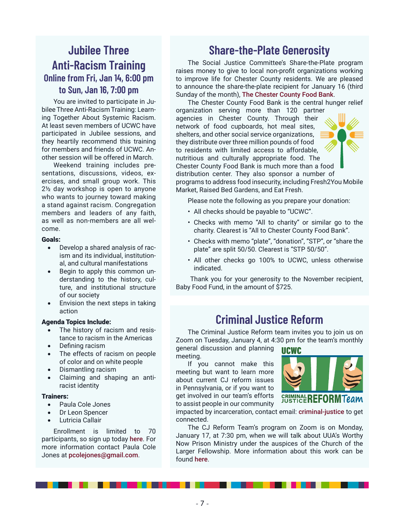## **Jubilee Three Anti-Racism Training Online from Fri, Jan 14, 6:00 pm to Sun, Jan 16, 7:00 pm**

You are invited to participate in Jubilee Three Anti-Racism Training: Learning Together About Systemic Racism. At least seven members of UCWC have participated in Jubilee sessions, and they heartily recommend this training for members and friends of UCWC. Another session will be offered in March.

Weekend training includes presentations, discussions, videos, exercises, and small group work. This 2½ day workshop is open to anyone who wants to journey toward making a stand against racism. Congregation members and leaders of any faith, as well as non-members are all welcome.

### Goals:

- Develop a shared analysis of racism and its individual, institutional, and cultural manifestations
- Begin to apply this common understanding to the history, culture, and institutional structure of our society
- Envision the next steps in taking action

### Agenda Topics Include:

- The history of racism and resistance to racism in the Americas
- Defining racism
- The effects of racism on people of color and on white people
- Dismantling racism
- Claiming and shaping an antiracist identity

### Trainers:

- Paula Cole Jones
- Dr Leon Spencer
- **Lutricia Callair**

Enrollment is limited to 70 participants, so sign up today here. For more information contact Paula Cole Jones at pcolejones@gmail.com.

## **Share-the-Plate Generosity**

The Social Justice Committee's Share-the-Plate program raises money to give to local non-profit organizations working to improve life for Chester County residents. We are pleased to announce the share-the-plate recipient for January 16 (third Sunday of the month), The Chester County Food Bank.

The Chester County Food Bank is the central hunger relief organization serving more than 120 partner agencies in Chester County. Through their network of food cupboards, hot meal sites, shelters, and other social service organizations, they distribute over three million pounds of food to residents with limited access to affordable, nutritious and culturally appropriate food. The Chester County Food Bank is much more than a food distribution center. They also sponsor a number of programs to address food insecurity, including Fresh2You Mobile Market, Raised Bed Gardens, and Eat Fresh.

Please note the following as you prepare your donation:

- All checks should be payable to "UCWC".
- Checks with memo "All to charity" or similar go to the charity. Clearest is "All to Chester County Food Bank".
- Checks with memo "plate", "donation", "STP", or "share the plate" are split 50/50. Clearest is "STP 50/50".
- All other checks go 100% to UCWC, unless otherwise indicated.

 Thank you for your generosity to the November recipient, Baby Food Fund, in the amount of \$725.

## **Criminal Justice Reform**

The Criminal Justice Reform team invites you to join us on Zoom on Tuesday, January 4, at 4:30 pm for the team's monthly general discussion and planning **UCWC** 

meeting.

If you cannot make this meeting but want to learn more about current CJ reform issues in Pennsylvania, or if you want to get involved in our team's efforts to assist people in our community



impacted by incarceration, contact email: criminal-justice to get connected.

The CJ Reform Team's program on Zoom is on Monday, January 17, at 7:30 pm, when we will talk about UUA's Worthy Now Prison Ministry under the auspices of the Church of the Larger Fellowship. More information about this work can be found here.